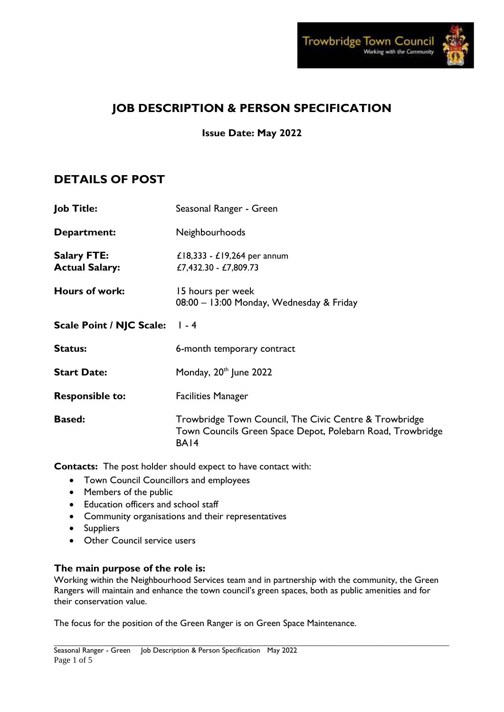

# **JOB DESCRIPTION & PERSON SPECIFICATION**

## **Issue Date: May 2022**

# **DETAILS OF POST**

| <b>Job Title:</b>                           | Seasonal Ranger - Green                                                                                                                  |  |
|---------------------------------------------|------------------------------------------------------------------------------------------------------------------------------------------|--|
| Department:                                 | Neighbourhoods                                                                                                                           |  |
| <b>Salary FTE:</b><br><b>Actual Salary:</b> | £18,333 - £19,264 per annum<br>£7,432.30 - £7,809.73                                                                                     |  |
| Hours of work:                              | 15 hours per week<br>08:00 - 13:00 Monday, Wednesday & Friday                                                                            |  |
| <b>Scale Point / NJC Scale:</b>             | $1 - 4$                                                                                                                                  |  |
| <b>Status:</b>                              | 6-month temporary contract                                                                                                               |  |
| <b>Start Date:</b>                          | Monday, 20 <sup>th</sup> June 2022                                                                                                       |  |
| <b>Responsible to:</b>                      | <b>Facilities Manager</b>                                                                                                                |  |
| <b>Based:</b>                               | Trowbridge Town Council, The Civic Centre & Trowbridge<br>Town Councils Green Space Depot, Polebarn Road, Trowbridge<br>BA <sub>14</sub> |  |

**Contacts:** The post holder should expect to have contact with:

- Town Council Councillors and employees
- Members of the public
- Education officers and school staff
- Community organisations and their representatives
- Suppliers
- Other Council service users

## **The main purpose of the role is:**

Working within the Neighbourhood Services team and in partnership with the community, the Green Rangers will maintain and enhance the town council's green spaces, both as public amenities and for their conservation value.

The focus for the position of the Green Ranger is on Green Space Maintenance.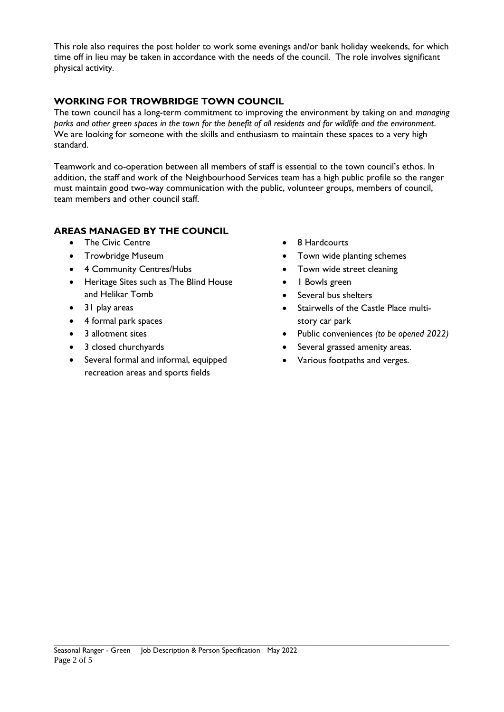This role also requires the post holder to work some evenings and/or bank holiday weekends, for which time off in lieu may be taken in accordance with the needs of the council. The role involves significant physical activity.

## **WORKING FOR TROWBRIDGE TOWN COUNCIL**

The town council has a long-term commitment to improving the environment by taking on and *managing parks and other green spaces in the town for the benefit of all residents and for wildlife and the environment*. We are looking for someone with the skills and enthusiasm to maintain these spaces to a very high standard.

Teamwork and co-operation between all members of staff is essential to the town council's ethos. In addition, the staff and work of the Neighbourhood Services team has a high public profile so the ranger must maintain good two-way communication with the public, volunteer groups, members of council, team members and other council staff.

## **AREAS MANAGED BY THE COUNCIL**

- The Civic Centre
- Trowbridge Museum
- 4 Community Centres/Hubs
- Heritage Sites such as The Blind House and Helikar Tomb
- 31 play areas
- 4 formal park spaces
- 3 allotment sites
- 3 closed churchyards
- Several formal and informal, equipped recreation areas and sports fields
- 8 Hardcourts
- Town wide planting schemes
- Town wide street cleaning
- 1 Bowls green
- Several bus shelters
- Stairwells of the Castle Place multistory car park
- Public conveniences *(to be opened 2022)*
- Several grassed amenity areas.
- Various footpaths and verges.

\_\_\_\_\_\_\_\_\_\_\_\_\_\_\_\_\_\_\_\_\_\_\_\_\_\_\_\_\_\_\_\_\_\_\_\_\_\_\_\_\_\_\_\_\_\_\_\_\_\_\_\_\_\_\_\_\_\_\_\_\_\_\_\_\_\_\_\_\_\_\_\_\_\_\_\_\_\_\_\_\_\_\_\_\_\_\_\_\_\_\_\_\_\_\_\_\_\_\_\_\_\_\_\_\_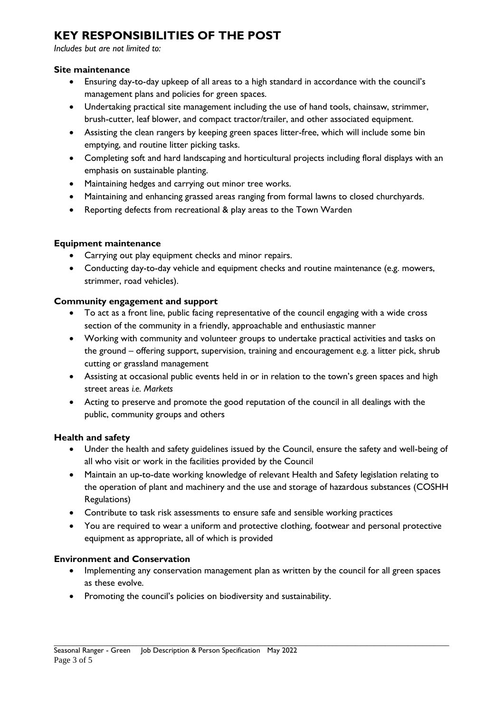# **KEY RESPONSIBILITIES OF THE POST**

*Includes but are not limited to:*

#### **Site maintenance**

- Ensuring day-to-day upkeep of all areas to a high standard in accordance with the council's management plans and policies for green spaces.
- Undertaking practical site management including the use of hand tools, chainsaw, strimmer, brush-cutter, leaf blower, and compact tractor/trailer, and other associated equipment.
- Assisting the clean rangers by keeping green spaces litter-free, which will include some bin emptying, and routine litter picking tasks.
- Completing soft and hard landscaping and horticultural projects including floral displays with an emphasis on sustainable planting.
- Maintaining hedges and carrying out minor tree works.
- Maintaining and enhancing grassed areas ranging from formal lawns to closed churchyards.
- Reporting defects from recreational & play areas to the Town Warden

## **Equipment maintenance**

- Carrying out play equipment checks and minor repairs.
- Conducting day-to-day vehicle and equipment checks and routine maintenance (e.g. mowers, strimmer, road vehicles).

## **Community engagement and support**

- To act as a front line, public facing representative of the council engaging with a wide cross section of the community in a friendly, approachable and enthusiastic manner
- Working with community and volunteer groups to undertake practical activities and tasks on the ground – offering support, supervision, training and encouragement e.g. a litter pick, shrub cutting or grassland management
- Assisting at occasional public events held in or in relation to the town's green spaces and high street areas *i.e. Markets*
- Acting to preserve and promote the good reputation of the council in all dealings with the public, community groups and others

## **Health and safety**

- Under the health and safety guidelines issued by the Council, ensure the safety and well-being of all who visit or work in the facilities provided by the Council
- Maintain an up-to-date working knowledge of relevant Health and Safety legislation relating to the operation of plant and machinery and the use and storage of hazardous substances (COSHH Regulations)
- Contribute to task risk assessments to ensure safe and sensible working practices
- You are required to wear a uniform and protective clothing, footwear and personal protective equipment as appropriate, all of which is provided

## **Environment and Conservation**

- Implementing any conservation management plan as written by the council for all green spaces as these evolve.
- Promoting the council's policies on biodiversity and sustainability.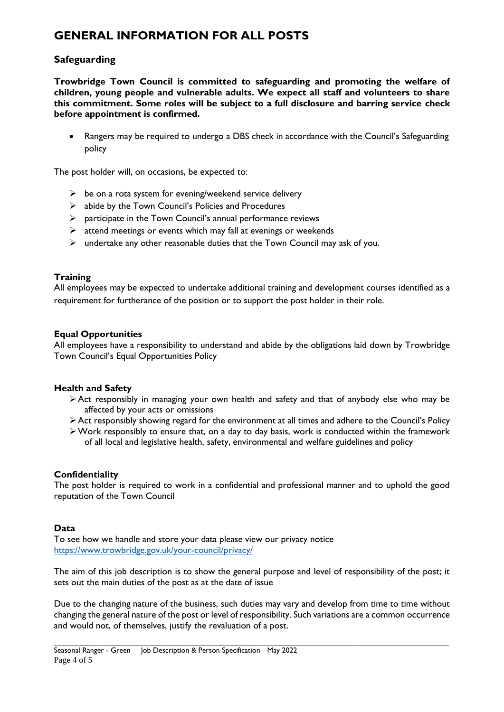# **GENERAL INFORMATION FOR ALL POSTS**

## **Safeguarding**

**Trowbridge Town Council is committed to safeguarding and promoting the welfare of children, young people and vulnerable adults. We expect all staff and volunteers to share this commitment. Some roles will be subject to a full disclosure and barring service check before appointment is confirmed.** 

 Rangers may be required to undergo a DBS check in accordance with the Council's Safeguarding policy

The post holder will, on occasions, be expected to:

- $\triangleright$  be on a rota system for evening/weekend service delivery
- $\triangleright$  abide by the Town Council's Policies and Procedures
- $\triangleright$  participate in the Town Council's annual performance reviews
- $\triangleright$  attend meetings or events which may fall at evenings or weekends
- $\triangleright$  undertake any other reasonable duties that the Town Council may ask of you.

#### **Training**

All employees may be expected to undertake additional training and development courses identified as a requirement for furtherance of the position or to support the post holder in their role.

#### **Equal Opportunities**

All employees have a responsibility to understand and abide by the obligations laid down by Trowbridge Town Council's Equal Opportunities Policy

#### **Health and Safety**

- $\triangleright$  Act responsibly in managing your own health and safety and that of anybody else who may be affected by your acts or omissions
- Act responsibly showing regard for the environment at all times and adhere to the Council's Policy
- $\triangleright$  Work responsibly to ensure that, on a day to day basis, work is conducted within the framework of all local and legislative health, safety, environmental and welfare guidelines and policy

#### **Confidentiality**

The post holder is required to work in a confidential and professional manner and to uphold the good reputation of the Town Council

#### **Data**

To see how we handle and store your data please view our privacy notice <https://www.trowbridge.gov.uk/your-council/privacy/>

The aim of this job description is to show the general purpose and level of responsibility of the post; it sets out the main duties of the post as at the date of issue

Due to the changing nature of the business, such duties may vary and develop from time to time without changing the general nature of the post or level of responsibility. Such variations are a common occurrence and would not, of themselves, justify the revaluation of a post.